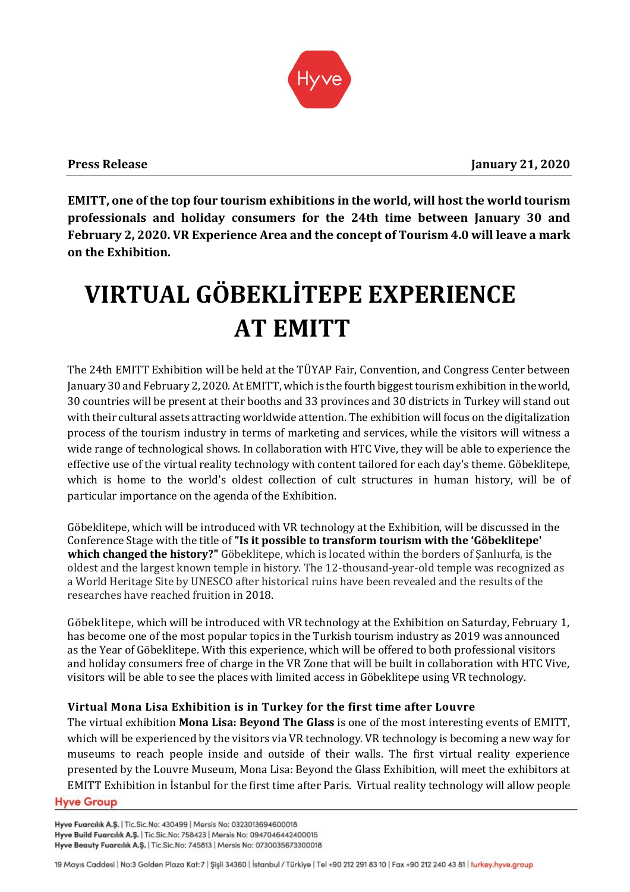

**EMITT, one of the top four tourism exhibitions in the world, will host the world tourism professionals and holiday consumers for the 24th time between January 30 and February 2, 2020. VR Experience Area and the concept of Tourism 4.0 will leave a mark on the Exhibition.**

# **VIRTUAL GÖBEKLİTEPE EXPERIENCE AT EMITT**

The 24th EMITT Exhibition will be held at the TÜYAP Fair, Convention, and Congress Center between January 30 and February 2, 2020. At EMITT, which is the fourth biggest tourism exhibition in the world, 30 countries will be present at their booths and 33 provinces and 30 districts in Turkey will stand out with their cultural assets attracting worldwide attention. The exhibition will focus on the digitalization process of the tourism industry in terms of marketing and services, while the visitors will witness a wide range of technological shows. In collaboration with HTC Vive, they will be able to experience the effective use of the virtual reality technology with content tailored for each day's theme. Göbeklitepe, which is home to the world's oldest collection of cult structures in human history, will be of particular importance on the agenda of the Exhibition.

Göbeklitepe, which will be introduced with VR technology at the Exhibition, will be discussed in the Conference Stage with the title of **"Is it possible to transform tourism with the 'Göbeklitepe' which changed the history?"** Göbeklitepe, which is located within the borders of Şanlıurfa, is the oldest and the largest known temple in history. The 12-thousand-year-old temple was recognized as a World Heritage Site by UNESCO after historical ruins have been revealed and the results of the researches have reached fruition in 2018.

Göbeklitepe, which will be introduced with VR technology at the Exhibition on Saturday, February 1, has become one of the most popular topics in the Turkish tourism industry as 2019 was announced as the Year of Göbeklitepe. With this experience, which will be offered to both professional visitors and holiday consumers free of charge in the VR Zone that will be built in collaboration with HTC Vive, visitors will be able to see the places with limited access in Göbeklitepe using VR technology.

# **Virtual Mona Lisa Exhibition is in Turkey for the first time after Louvre**

The virtual exhibition **Mona Lisa: Beyond The Glass** is one of the most interesting events of EMITT, which will be experienced by the visitors via VR technology. VR technology is becoming a new way for museums to reach people inside and outside of their walls. The first virtual reality experience presented by the Louvre Museum, Mona Lisa: Beyond the Glass Exhibition, will meet the exhibitors at EMITT Exhibition in İstanbul for the first time after Paris. Virtual reality technology will allow people**Hyve Group** 

Hyve Fuarcılık A.Ş. | Tic.Sic.No: 430499 | Mersis No: 0323013694600018 Hyve Build Fuarcılık A.Ş. | Tic.Sic.No: 758423 | Mersis No: 0947046442400015 Hyve Beauty Fuarcılık A.Ş. | Tic.Sic.No: 745813 | Mersis No: 0730035673300018

<sup>19</sup> Mayıs Caddesi | No:3 Golden Plaza Kat: 7 | Şişli 34360 | İstanbul / Türkiye | Tel +90 212 291 83 10 | Fax +90 212 240 43 81 | turkey.hyve.group